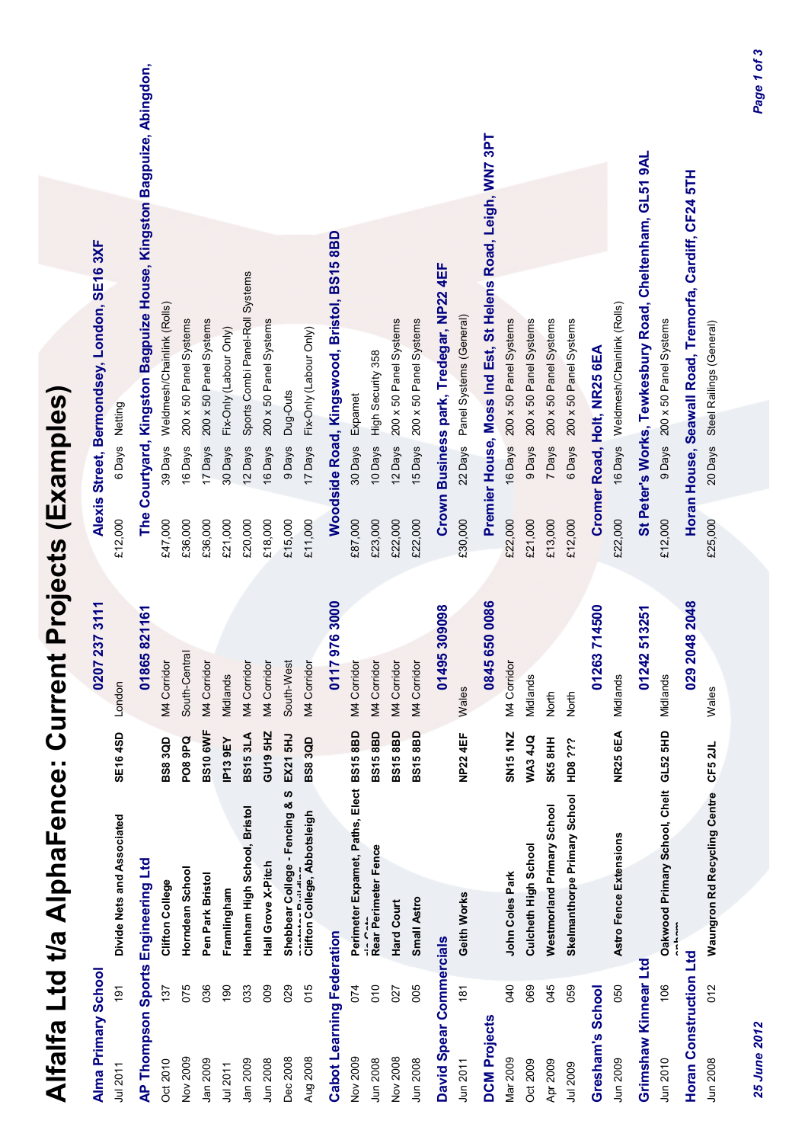| Alma Primary School       |                |                                                    |                    | 7 237 3111<br>020           |         | Alexis Street, Bermondsey, London, SE16 3XF                          |
|---------------------------|----------------|----------------------------------------------------|--------------------|-----------------------------|---------|----------------------------------------------------------------------|
| Jul 2011                  | $\frac{5}{2}$  | Divide Nets and Associated                         | SE164SD            | London                      | £12,000 | 6 Days Netting                                                       |
|                           |                | AP Thompson Sports Engineering Ltd                 |                    | 01865821161                 |         | The Courtyard, Kingston Bagpuize House, Kingston Bagpuize, Abingdon, |
| Oct 2010                  | 137            | Clifton College                                    | <b>BS83QD</b>      | M4 Corridor                 | £47,000 | 39 Days Weldmesh/Chainlink (Rolls)                                   |
| Nov 2009                  | 075            | Horndean School                                    | <b>PO89PQ</b>      | South-Central               | £36,000 | 200 x 50 Panel Systems<br>16 Days                                    |
| Jan 2009                  | 036            | Pen Park Bristol                                   | <b>BS10 6WF</b>    | M4 Corridor                 | £36,000 | 200 x 50 Panel Systems<br>17 Days                                    |
| Jul 2011                  | 190            | Framlingham                                        | IP139EY            | Midlands                    | £21,000 | Fix-Only (Labour Only)<br>30 Days                                    |
| Jan 2009                  | 033            | Hanham High School, Bristol                        | <b>BS153LA</b>     | M4 Corridor                 | £20,000 | Sports Combi Panel-Roll Systems<br>12 Days                           |
| Jun 2008                  | 009            | Hall Grove X-Pitch                                 | GU19 5HZ           | M4 Corridor                 | £18,000 | 200 x 50 Panel Systems<br>16 Days                                    |
| Dec 2008                  | 029            | <b>SC</b><br>Shebbear College - Fencing &          | EX21 5HJ           | South-West                  | £15,000 | Dug-Outs<br>9 Days                                                   |
| Aug 2008                  | 015            | Clifton College, Abbotsleigh<br><b>DESCRIPTION</b> | <b>BS8 3QD</b>     | M4 Corridor                 | £11,000 | 17 Days Fix-Only (Labour Only)                                       |
| Cabot Learning Federation |                |                                                    |                    | 179763000<br>$\overline{0}$ |         | Woodside Road, Kingswood, Bristol, BS15 8BD                          |
| Nov 2009                  | 074            | Perimeter Expamet, Paths, Elect BS15 8BD           |                    | M4 Corridor                 | £87,000 | 30 Days Expamet                                                      |
| Jun 2008                  | 010            | "'∽ Cata<br>Rear Perimeter Fence                   | <b>BS158BD</b>     | M4 Corridor                 | £23,000 | High Security 358<br>10 Days                                         |
| Nov 2008                  | 027            | Hard Court                                         | BS158BD            | M4 Corridor                 | £22,000 | 200 x 50 Panel Systems<br>12 Days                                    |
| Jun 2008                  | 005            | Small Astro                                        | BS158BD            | M4 Corridor                 | £22,000 | 200 x 50 Panel Systems<br>15 Days                                    |
| David Spear Commercials   |                |                                                    |                    | 01495309098                 |         | Crown Business park, Tredegar, NP22 4EF                              |
| Jun 2011                  | $\frac{18}{1}$ | Geith Works                                        | <b>NP224EF</b>     | Wales                       | £30,000 | 22 Days Panel Systems (General)                                      |
| <b>DCM Projects</b>       |                |                                                    |                    | 0845 650 0086               |         | Premier House, Moss Ind Est, St Helens Road, Leigh, WN7 3PT          |
| Mar 2009                  | <b>GRO</b>     | John Coles Park                                    | <b>SN151NZ</b>     | M4 Corridor                 | £22,000 | 200 x 50 Panel Systems<br>16 Days                                    |
| <b>Oct 2009</b>           | 069            | Culcheth High School                               | <b>MA34JQ</b>      | Midlands                    | £21,000 | 200 x 50 Panel Systems<br>9 Days                                     |
| Apr 2009                  | 045            | <b>Westmorland Primary School</b>                  | SK5 <sub>8HH</sub> | North                       | £13,000 | 200 x 50 Panel Systems<br>7 Days                                     |
| Jul 2009                  | 059            | Skelmanthorpe Primary School                       | <b>LL2 3.5.5</b>   | North                       | £12,000 | 200 x 50 Panel Systems<br>6 Days                                     |
| Gresham's School          |                |                                                    |                    | 63714500<br>012             |         | Cromer Road, Holt, NR25 6EA                                          |
| Jun 2009                  | 050            | Astro Fence Extensions                             | <b>NR25 6EA</b>    | Midlands                    | £22,000 | 16 Days Weldmesh/Chainlink (Rolls)                                   |
| Grimshaw Kinnear Ltd      |                |                                                    |                    | 01242 513251                |         | St Peter's Works, Tewkesbury Road, Cheltenham, GL51 9AL              |
| Jun 2010                  | 106            | Oakwood Primary School, Chelt GL52 5HD             |                    | Midlands                    | £12,000 | 9 Days 200 x 50 Panel Systems                                        |
| Horan Construction Ltd    |                |                                                    |                    | 2048 2048<br>029            |         | Horan House, Seawall Road, Tremorfa, Cardiff, CF24 5TH               |
| Jun 2008                  | 012            | Waungron Rd Recycling Centre CF5 2JL               |                    | Wales                       | £25,000 | 20 Days Steel Railings (General)                                     |
|                           |                |                                                    |                    |                             |         |                                                                      |

**Alfalfa Ltd t/a AlphaFence: Current Projects (Examples)**

Alfalfa Ltd t/a AlphaFence: Current Projects (Examples)

Page 1 of 3 *25 June 2012 Page 1 of 3*

25 June 2012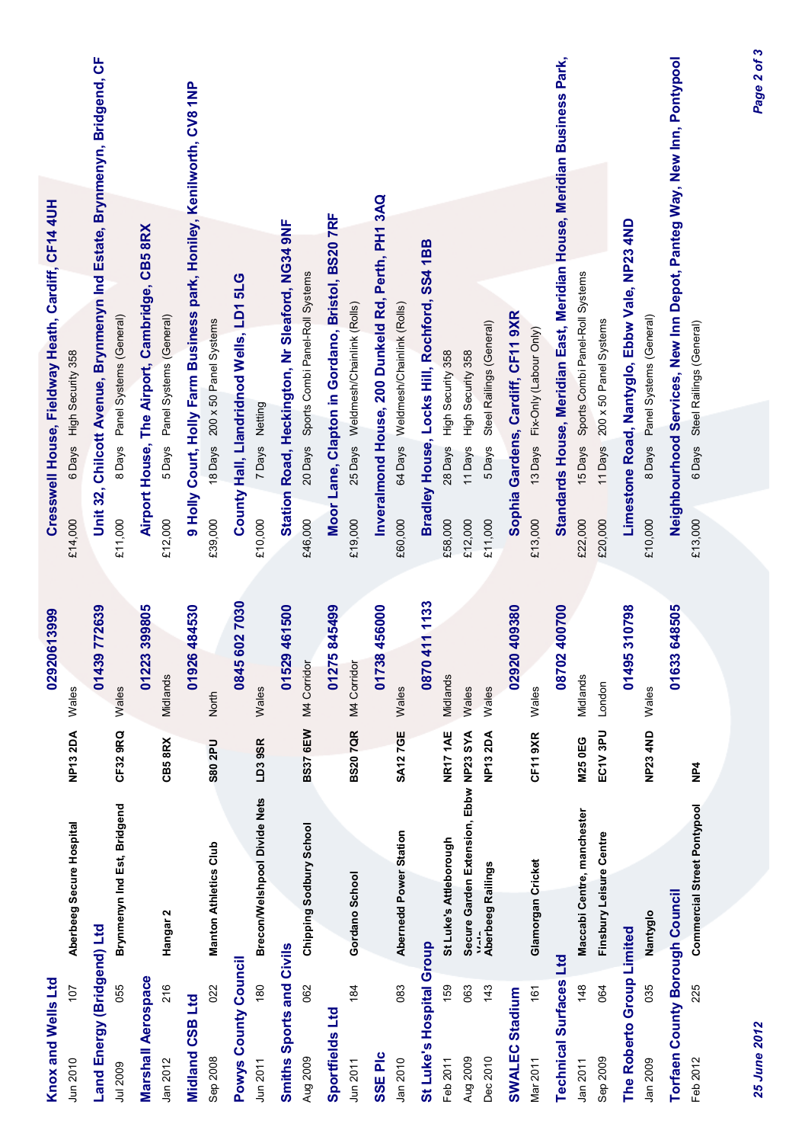| Knox and Wells Ltd                     |     |                                        |                 | 02920613999                | Cresswell House, Fieldway Heath, Cardiff, CF14 4UH                                                                      |  |
|----------------------------------------|-----|----------------------------------------|-----------------|----------------------------|-------------------------------------------------------------------------------------------------------------------------|--|
| Jun 2010                               | 107 | Aberbeeg Secure Hospital               | <b>NP132DA</b>  | Wales                      | 6 Days High Security 358<br>£14,000                                                                                     |  |
| Land Energy (Bridgend) Ltd<br>Jul 2009 | 055 | Brynmenyn Ind Est, Bridgend            | CF329RQ         | 01439 772639<br>Wales      | Unit 32, Chilcott Avenue, Brynmenyn Ind Estate, Brynmenyn, Bridgend, CF<br>Panel Systems (General)<br>8 Days<br>£11,000 |  |
| <b>Marshall Aerospace</b>              |     |                                        |                 | 01223 399805               | Airport House, The Airport, Cambridge, CB5 8RX                                                                          |  |
| Jan 2012                               | 216 | Hangar <sub>2</sub>                    | CB58RX          | Midlands                   | Panel Systems (General)<br>5 Days<br>£12,000                                                                            |  |
| Midland CSB Ltd                        |     |                                        |                 | 01926484530                | 9 Holly Court, Holly Farm Business park, Honiley, Kenilworth, CV8 1NP                                                   |  |
| Sep 2008                               | 022 | <b>Manton Athletics Club</b>           | <b>S80 2PU</b>  | North                      | 200 x 50 Panel Systems<br>18 Days<br>£39,000                                                                            |  |
| <b>Powys County Council</b>            |     |                                        |                 | 0845 602 7030              | County Hall, Llandridnod Wells, LD1 5LG                                                                                 |  |
| Jun 2011                               | 180 | Brecon/Welshpool Divide Nets           | LD39SR          | Wales                      | 7 Days Netting<br>£10,000                                                                                               |  |
| Smiths Sports and Civils<br>Aug 2009   | 062 | Chipping Sodbury School                | <b>BS37 6EW</b> | 01529461500<br>M4 Corridor | Station Road, Heckington, Nr Sleaford, NG34 9NF<br>20 Days Sports Combi Panel-Roll Systems<br>£46,000                   |  |
|                                        |     |                                        |                 |                            |                                                                                                                         |  |
| Sportfields Ltd<br>Jun 2011            | 184 | Gordano School                         | <b>BS207QR</b>  | 01275845499<br>M4 Corridor | Moor Lane, Clapton in Gordano, Bristol, BS20 7RF<br>25 Days Weldmesh/Chainlink (Rolls)<br>£19,000                       |  |
| <b>SSE PIC</b>                         |     |                                        |                 | 01738456000                | Inveralmond House, 200 Dunkeld Rd, Perth, PH1 3AQ                                                                       |  |
| Jan 2010                               | 083 | Abernedd Power Station                 | <b>SA127GE</b>  | Wales                      | 64 Days Weldmesh/Chainlink (Rolls)<br>£60,000                                                                           |  |
| St Luke's Hospital Group               |     |                                        |                 | 0870 411 1133              | Bradley House, Locks Hill, Rochford, SS4 1BB                                                                            |  |
| Feb 2011                               | 159 | St Luke's Attleborough                 | <b>NR17 1AE</b> | Midlands                   | 28 Days High Security 358<br>£58,000                                                                                    |  |
| Aug 2009                               | 063 | Secure Garden Extension, Ebbw NP23 SYA |                 | Wales                      | High Security 358<br>11 Days<br>£12,000                                                                                 |  |
| Dec 2010                               | 143 | Aberbeeg Railings                      | <b>NP132DA</b>  | Wales                      | Steel Railings (General)<br>5Days<br>£11,000                                                                            |  |
| SWALEC Stadium                         |     |                                        |                 | 02920 409380               | Sophia Gardens, Cardiff, CF11 9XR                                                                                       |  |
| Mar 2011                               | 161 | Glamorgan Cricket                      | <b>CF11 9XR</b> | Wales                      | 13 Days Fix-Only (Labour Only)<br>£13,000                                                                               |  |
| <b>Technical Surfaces Ltd</b>          |     |                                        |                 | 08702400700                | Standards House, Meridian East, Meridian House, Meridian Business Park,                                                 |  |
| Jan 2011                               | 148 | Maccabi Centre, manchester             | <b>M25 0EG</b>  | Midlands                   | 15 Days Sports Combi Panel-Roll Systems<br>£22,000                                                                      |  |
| Sep 2009                               | 064 | Finsbury Leisure Centre                | EC1V 3PU        | London                     | 200 x 50 Panel Systems<br>11 Days<br>£20,000                                                                            |  |
| The Roberto Group Limited              |     |                                        |                 | 01495310798                | Limestone Road, Nantyglo, Ebbw Vale, NP23 4ND                                                                           |  |
| Jan 2009                               | 035 | Nantyglo                               | <b>NP23 4ND</b> | Wales                      | Panel Systems (General)<br>8 Days<br>£10,000                                                                            |  |
| <b>Torfaen County Borough Council</b>  |     |                                        |                 | 01633 648505               | Neighbourhood Services, New Inn Depot, Panteg Way, New Inn, Pontypool                                                   |  |
| Feb 2012                               | 225 | <b>Commercial Street Pontypool</b>     | NP4             |                            | Steel Railings (General)<br>6 Days<br>£13,000                                                                           |  |
|                                        |     |                                        |                 |                            |                                                                                                                         |  |

*25 June 2012 Page 2 of 3*25 June 2012

Page 2 of 3